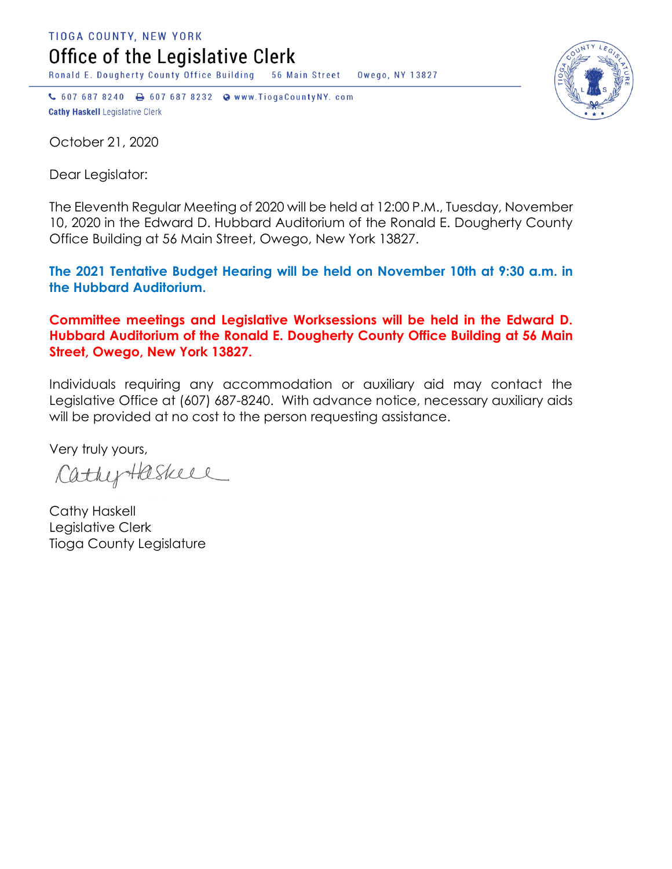TIOGA COUNTY, NEW YORK Office of the Legislative Clerk

Ronald E. Dougherty County Office Building 56 Main Street Owego, NY 13827

↓ 607 687 8240 → 607 687 8232 → www.TiogaCountyNY.com **Cathy Haskell Legislative Clerk** 

October 21, 2020

Dear Legislator:

The Eleventh Regular Meeting of 2020 will be held at 12:00 P.M., Tuesday, November 10, 2020 in the Edward D. Hubbard Auditorium of the Ronald E. Dougherty County Office Building at 56 Main Street, Owego, New York 13827.

**The 2021 Tentative Budget Hearing will be held on November 10th at 9:30 a.m. in the Hubbard Auditorium.** 

**Committee meetings and Legislative Worksessions will be held in the Edward D. Hubbard Auditorium of the Ronald E. Dougherty County Office Building at 56 Main Street, Owego, New York 13827.**

Individuals requiring any accommodation or auxiliary aid may contact the Legislative Office at (607) 687-8240. With advance notice, necessary auxiliary aids will be provided at no cost to the person requesting assistance.

Very truly yours,

CathyHaskell

Cathy Haskell Legislative Clerk Tioga County Legislature